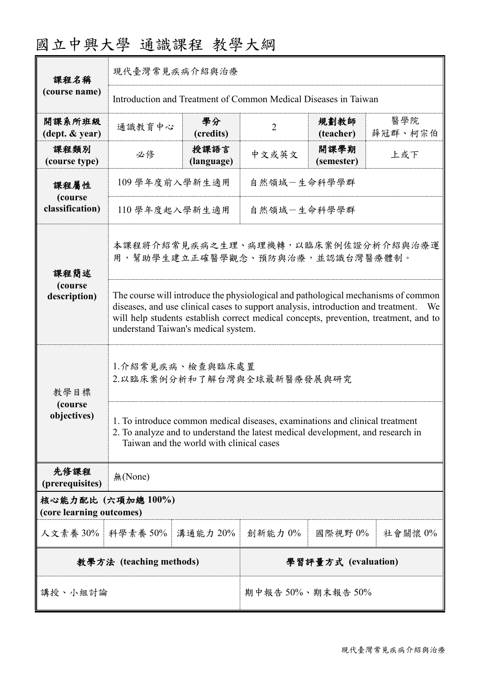## 國立中興大學 通識課程 教學大綱

| 課程名稱                                           | 現代臺灣常見疾病介紹與治療                                                                                                                                                                                                                                                                                               |                    |                     |                    |                |  |
|------------------------------------------------|-------------------------------------------------------------------------------------------------------------------------------------------------------------------------------------------------------------------------------------------------------------------------------------------------------------|--------------------|---------------------|--------------------|----------------|--|
| (course name)                                  | Introduction and Treatment of Common Medical Diseases in Taiwan                                                                                                                                                                                                                                             |                    |                     |                    |                |  |
| 開課系所班級<br>(dept. & year)                       | 通識教育中心                                                                                                                                                                                                                                                                                                      | 學分<br>(credits)    | $\overline{2}$      | 規劃教師<br>(teacher)  | 醫學院<br>薛冠群、柯宗伯 |  |
| 課程類別<br>(course type)                          | 必修                                                                                                                                                                                                                                                                                                          | 授課語言<br>(language) | 中文或英文               | 開課學期<br>(semester) | 上或下            |  |
| 課程屬性<br>(course<br>classification)             | 109 學年度前入學新生適用<br>自然領域-生命科學學群                                                                                                                                                                                                                                                                               |                    |                     |                    |                |  |
|                                                | 110 學年度起入學新生適用<br>自然領域-生命科學學群                                                                                                                                                                                                                                                                               |                    |                     |                    |                |  |
| 課程簡述<br>(course<br>description)                | 本課程將介紹常見疾病之生理、病理機轉,以臨床案例佐證分析介紹與治療運<br>用,幫助學生建立正確醫學觀念、預防與治療,並認識台灣醫療體制。                                                                                                                                                                                                                                       |                    |                     |                    |                |  |
|                                                | The course will introduce the physiological and pathological mechanisms of common<br>diseases, and use clinical cases to support analysis, introduction and treatment.<br>We<br>will help students establish correct medical concepts, prevention, treatment, and to<br>understand Taiwan's medical system. |                    |                     |                    |                |  |
| 教學目標<br>(course)<br>objectives)                | 1.介紹常見疾病、檢查與臨床處置<br>2.以臨床案例分析和了解台灣與全球最新醫療發展與研究                                                                                                                                                                                                                                                              |                    |                     |                    |                |  |
|                                                | 1. To introduce common medical diseases, examinations and clinical treatment<br>2. To analyze and to understand the latest medical development, and research in<br>Taiwan and the world with clinical cases                                                                                                 |                    |                     |                    |                |  |
| 先修課程<br>(prerequisites)                        | 無(None)                                                                                                                                                                                                                                                                                                     |                    |                     |                    |                |  |
| 核心能力配比 (六項加總 100%)<br>(core learning outcomes) |                                                                                                                                                                                                                                                                                                             |                    |                     |                    |                |  |
| 人文素養 30%                                       | 科學素養 50%                                                                                                                                                                                                                                                                                                    | 溝通能力 20%           | 創新能力0%              | 國際視野0%             | 社會關懷 0%        |  |
| 教學方法 (teaching methods)                        |                                                                                                                                                                                                                                                                                                             |                    | 學習評量方式 (evaluation) |                    |                |  |
| 講授、小組討論                                        |                                                                                                                                                                                                                                                                                                             | 期中報告50%、期末報告50%    |                     |                    |                |  |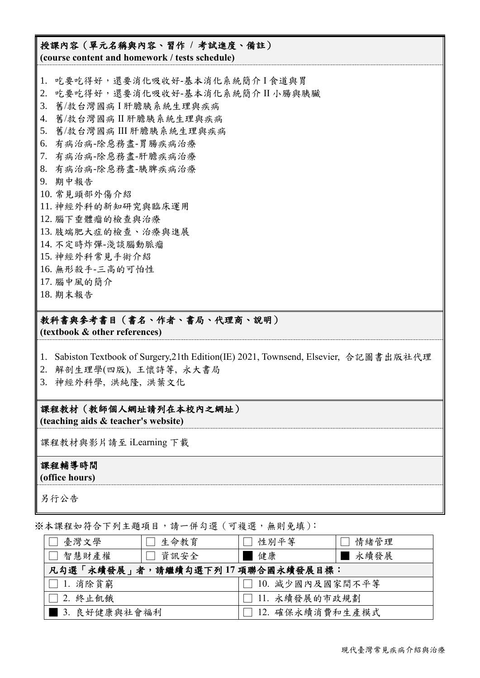## 授課內容(單元名稱與內容、習作 **/** 考試進度、備註)

**(course content and homework / tests schedule)**

- 1. 吃要吃得好,還要消化吸收好-基本消化系統簡介 I 食道與胃
- 2. 吃要吃得好,還要消化吸收好-基本消化系統簡介 II 小腸與胰臟
- 3. 舊/救台灣國病 I 肝膽胰系統生理與疾病
- 4. 舊/救台灣國病 II 肝膽胰系統生理與疾病
- 5. 舊/救台灣國病 III 肝膽胰系統生理與疾病
- 6. 有病治病-除惡務盡-胃腸疾病治療
- 7. 有病治病-除惡務盡-肝膽疾病治療
- 8. 有病治病-除惡務盡-胰脾疾病治療
- 9. 期中報告
- 10. 常見頭部外傷介紹
- 11. 神經外科的新知研究與臨床運用
- 12. 腦下垂體瘤的檢查與治療
- 13. 肢端肥大症的檢查、治療與進展
- 14. 不定時炸彈-淺談腦動脈瘤
- 15. 神經外科常見手術介紹
- 16. 無形殺手-三高的可怕性
- 17. 腦中風的簡介
- 18. 期末報告

## 教科書與參考書目(書名、作者、書局、代理商、說明)

**(textbook & other references)**

- 1. Sabiston Textbook of Surgery,21th Edition(IE) 2021, Townsend, Elsevier, 合記圖書出版社代理
- 2. 解剖生理學(四版), 王懷詩等, 永大書局
- 3. 神經外科學, 洪純隆, 洪葉文化

課程教材(教師個人網址請列在本校內之網址) **(teaching aids & teacher's website)**

課程教材與影片請至 iLearning 下載

## 課程輔導時間

**(office hours)**

另行公告

※本課程如符合下列主題項目,請一併勾選(可複選,無則免填):

| 臺灣文學                            | 生命教育 | □ 性別平等            | 情緒管理 |  |  |
|---------------------------------|------|-------------------|------|--|--|
| □ 智慧財產權                         | 資訊安全 | 健康                | 永續發展 |  |  |
| 凡勾選「永續發展」者,請繼續勾選下列17項聯合國永續發展目標: |      |                   |      |  |  |
| $\square$ 1. 消除貧窮               |      | □ 10. 减少國內及國家間不平等 |      |  |  |
| 2. 終止飢餓                         |      | □ 11. 永續發展的市政規劃   |      |  |  |
| ■ 3. 良好健康與社會福利                  |      | 12. 確保永續消費和生產模式   |      |  |  |